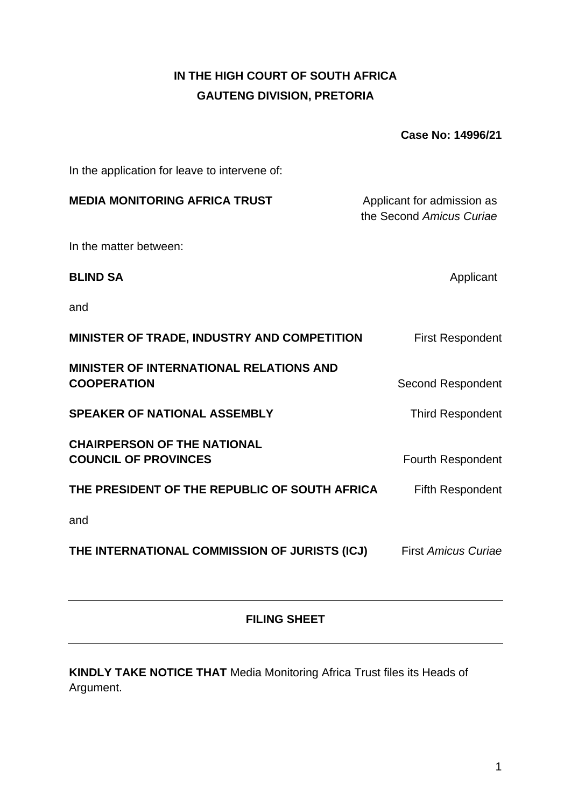# **IN THE HIGH COURT OF SOUTH AFRICA GAUTENG DIVISION, PRETORIA**

**Case No: 14996/21**

In the application for leave to intervene of:

| Applicant for admission as<br>the Second Amicus Curiae                      |
|-----------------------------------------------------------------------------|
|                                                                             |
| Applicant                                                                   |
|                                                                             |
| MINISTER OF TRADE, INDUSTRY AND COMPETITION<br><b>First Respondent</b>      |
| <b>Second Respondent</b>                                                    |
| <b>Third Respondent</b>                                                     |
| <b>Fourth Respondent</b>                                                    |
| THE PRESIDENT OF THE REPUBLIC OF SOUTH AFRICA<br><b>Fifth Respondent</b>    |
|                                                                             |
| THE INTERNATIONAL COMMISSION OF JURISTS (ICJ)<br><b>First Amicus Curiae</b> |
|                                                                             |

## **FILING SHEET**

**KINDLY TAKE NOTICE THAT** Media Monitoring Africa Trust files its Heads of Argument.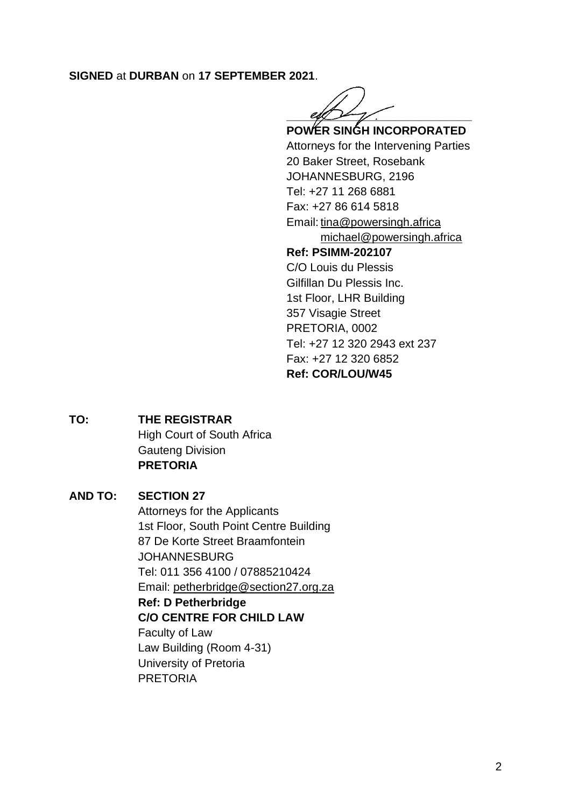**SIGNED** at **DURBAN** on **17 SEPTEMBER 2021**.

 $\ell$ 

**POWER SINGH INCORPORATED** Attorneys for the Intervening Parties 20 Baker Street, Rosebank JOHANNESBURG, 2196 Tel: +27 11 268 6881 Fax: +27 86 614 5818 Email: [tina@powersingh.africa](mailto:tina@powersingh.africa) [michael@powersingh.africa](mailto:michael@powersingh.africa)

**Ref: PSIMM-202107**

C/O Louis du Plessis Gilfillan Du Plessis Inc. 1st Floor, LHR Building 357 Visagie Street PRETORIA, 0002 Tel: +27 12 320 2943 ext 237 Fax: +27 12 320 6852 **Ref: COR/LOU/W45**

## **TO: THE REGISTRAR** High Court of South Africa Gauteng Division **PRETORIA**

## **AND TO: SECTION 27**

Attorneys for the Applicants 1st Floor, South Point Centre Building 87 De Korte Street Braamfontein **JOHANNESBURG** Tel: 011 356 4100 / 07885210424 Email: [petherbridge@section27.org.za](mailto:petherbridge@section27.org.za) **Ref: D Petherbridge C/O CENTRE FOR CHILD LAW** Faculty of Law Law Building (Room 4-31) University of Pretoria

PRETORIA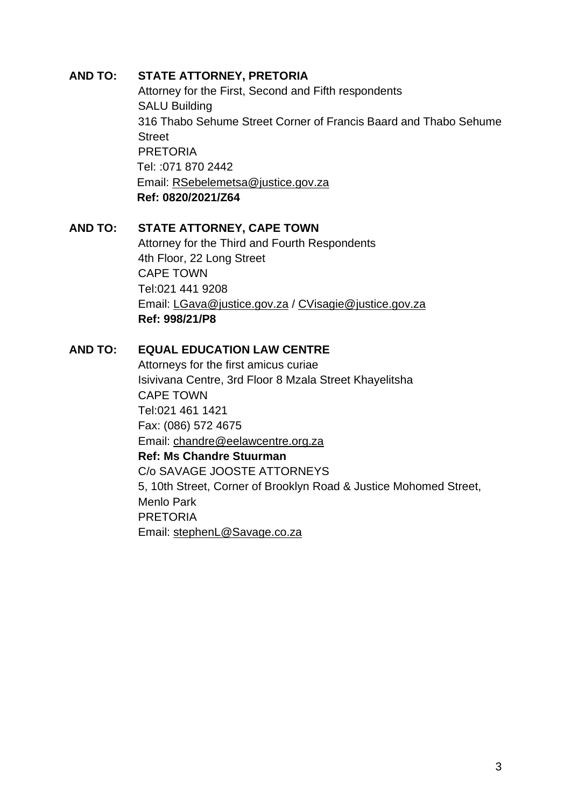#### **AND TO: STATE ATTORNEY, PRETORIA**

Attorney for the First, Second and Fifth respondents SALU Building 316 Thabo Sehume Street Corner of Francis Baard and Thabo Sehume **Street** PRETORIA Tel: :071 870 2442 Email: [RSebelemetsa@justice.gov.za](mailto:RSebelemetsa@justice.gov.za) **Ref: 0820/2021/Z64**

#### **AND TO: STATE ATTORNEY, CAPE TOWN**

Attorney for the Third and Fourth Respondents 4th Floor, 22 Long Street CAPE TOWN Tel:021 441 9208 Email: [LGava@justice.gov.za](mailto:LGava@justice.gov.za) / [CVisagie@justice.gov.za](mailto:CVisagie@justice.gov.za) **Ref: 998/21/P8**

### **AND TO: EQUAL EDUCATION LAW CENTRE**

Attorneys for the first amicus curiae Isivivana Centre, 3rd Floor 8 Mzala Street Khayelitsha CAPE TOWN Tel:021 461 1421 Fax: (086) 572 4675 Email: chandre@eelawcentre.org.za **Ref: Ms Chandre Stuurman** C/o SAVAGE JOOSTE ATTORNEYS 5, 10th Street, Corner of Brooklyn Road & Justice Mohomed Street, Menlo Park PRETORIA Email: [stephenL@Savage.co.za](mailto:stephenL@Savage.co.za)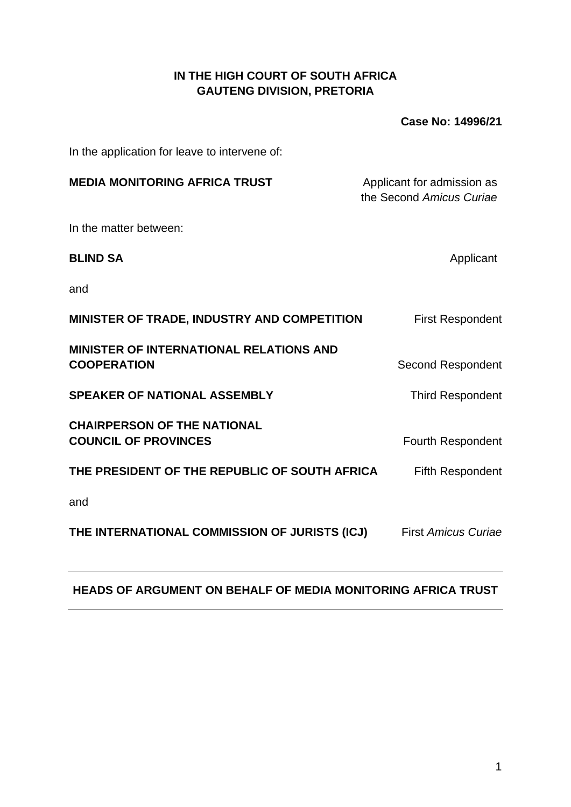## **IN THE HIGH COURT OF SOUTH AFRICA GAUTENG DIVISION, PRETORIA**

**Case No: 14996/21**

In the application for leave to intervene of:

| <b>MEDIA MONITORING AFRICA TRUST</b>                                 | Applicant for admission as<br>the Second Amicus Curiae |
|----------------------------------------------------------------------|--------------------------------------------------------|
| In the matter between:                                               |                                                        |
| <b>BLIND SA</b>                                                      | Applicant                                              |
| and                                                                  |                                                        |
| MINISTER OF TRADE, INDUSTRY AND COMPETITION                          | <b>First Respondent</b>                                |
| <b>MINISTER OF INTERNATIONAL RELATIONS AND</b><br><b>COOPERATION</b> | <b>Second Respondent</b>                               |
| <b>SPEAKER OF NATIONAL ASSEMBLY</b>                                  | <b>Third Respondent</b>                                |
| <b>CHAIRPERSON OF THE NATIONAL</b><br><b>COUNCIL OF PROVINCES</b>    | <b>Fourth Respondent</b>                               |
| THE PRESIDENT OF THE REPUBLIC OF SOUTH AFRICA                        | <b>Fifth Respondent</b>                                |
| and                                                                  |                                                        |
| THE INTERNATIONAL COMMISSION OF JURISTS (ICJ)                        | <b>First Amicus Curiae</b>                             |

### **HEADS OF ARGUMENT ON BEHALF OF MEDIA MONITORING AFRICA TRUST**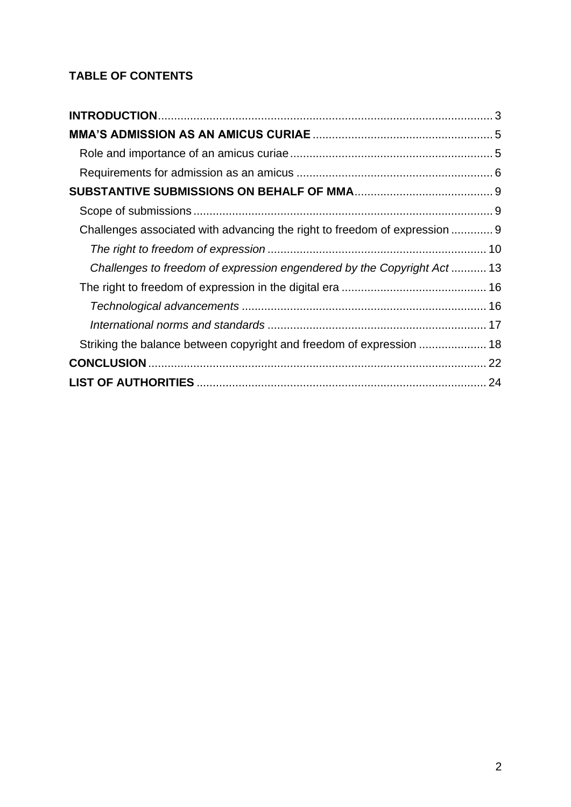## **TABLE OF CONTENTS**

| Challenges associated with advancing the right to freedom of expression  9 |  |
|----------------------------------------------------------------------------|--|
|                                                                            |  |
| Challenges to freedom of expression engendered by the Copyright Act13      |  |
|                                                                            |  |
|                                                                            |  |
|                                                                            |  |
| Striking the balance between copyright and freedom of expression  18       |  |
|                                                                            |  |
|                                                                            |  |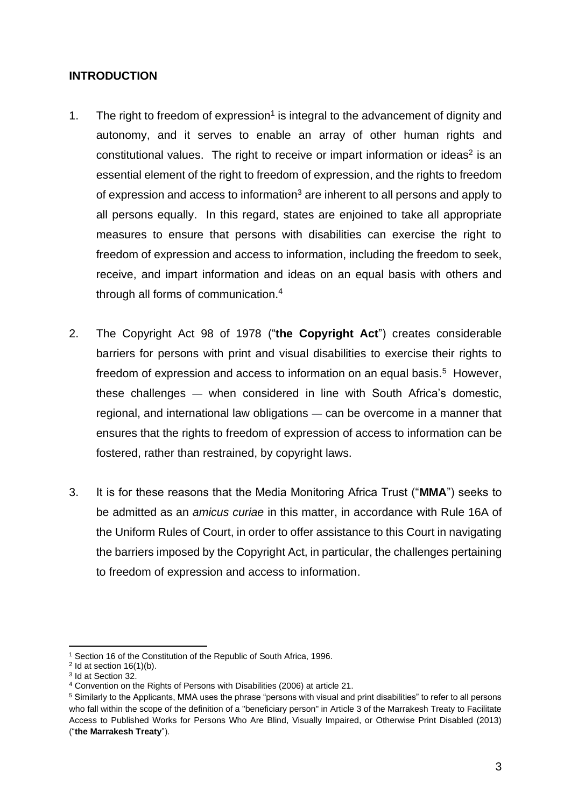#### <span id="page-5-0"></span>**INTRODUCTION**

- 1. The right to freedom of expression<sup>1</sup> is integral to the advancement of dignity and autonomy, and it serves to enable an array of other human rights and constitutional values. The right to receive or impart information or ideas<sup>2</sup> is an essential element of the right to freedom of expression, and the rights to freedom of expression and access to information<sup>3</sup> are inherent to all persons and apply to all persons equally. In this regard, states are enjoined to take all appropriate measures to ensure that persons with disabilities can exercise the right to freedom of expression and access to information, including the freedom to seek, receive, and impart information and ideas on an equal basis with others and through all forms of communication.<sup>4</sup>
- 2. The Copyright Act 98 of 1978 ("**the Copyright Act**") creates considerable barriers for persons with print and visual disabilities to exercise their rights to freedom of expression and access to information on an equal basis.<sup>5</sup> However, these challenges — when considered in line with South Africa's domestic, regional, and international law obligations — can be overcome in a manner that ensures that the rights to freedom of expression of access to information can be fostered, rather than restrained, by copyright laws.
- 3. It is for these reasons that the Media Monitoring Africa Trust ("**MMA**") seeks to be admitted as an *amicus curiae* in this matter, in accordance with Rule 16A of the Uniform Rules of Court, in order to offer assistance to this Court in navigating the barriers imposed by the Copyright Act, in particular, the challenges pertaining to freedom of expression and access to information.

<sup>1</sup> Section 16 of the Constitution of the Republic of South Africa, 1996.

 $2$  Id at section 16(1)(b).

<sup>3</sup> Id at Section 32.

<sup>4</sup> Convention on the Rights of Persons with Disabilities (2006) at article 21.

<sup>5</sup> Similarly to the Applicants, MMA uses the phrase "persons with visual and print disabilities" to refer to all persons who fall within the scope of the definition of a "beneficiary person" in Article 3 of the Marrakesh Treaty to Facilitate Access to Published Works for Persons Who Are Blind, Visually Impaired, or Otherwise Print Disabled (2013) ("**the Marrakesh Treaty**").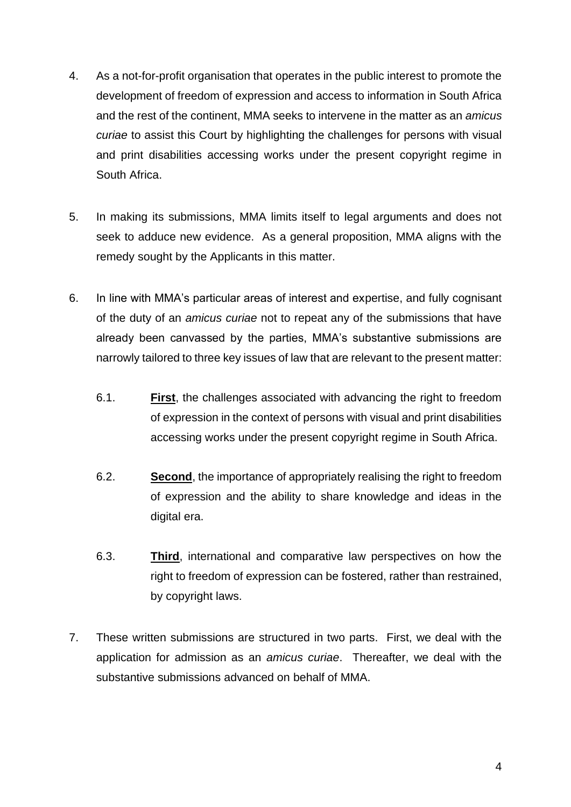- 4. As a not-for-profit organisation that operates in the public interest to promote the development of freedom of expression and access to information in South Africa and the rest of the continent, MMA seeks to intervene in the matter as an *amicus curiae* to assist this Court by highlighting the challenges for persons with visual and print disabilities accessing works under the present copyright regime in South Africa.
- 5. In making its submissions, MMA limits itself to legal arguments and does not seek to adduce new evidence. As a general proposition, MMA aligns with the remedy sought by the Applicants in this matter.
- 6. In line with MMA's particular areas of interest and expertise, and fully cognisant of the duty of an *amicus curiae* not to repeat any of the submissions that have already been canvassed by the parties, MMA's substantive submissions are narrowly tailored to three key issues of law that are relevant to the present matter:
	- 6.1. **First**, the challenges associated with advancing the right to freedom of expression in the context of persons with visual and print disabilities accessing works under the present copyright regime in South Africa.
	- 6.2. **Second**, the importance of appropriately realising the right to freedom of expression and the ability to share knowledge and ideas in the digital era.
	- 6.3. **Third**, international and comparative law perspectives on how the right to freedom of expression can be fostered, rather than restrained, by copyright laws.
- 7. These written submissions are structured in two parts. First, we deal with the application for admission as an *amicus curiae*. Thereafter, we deal with the substantive submissions advanced on behalf of MMA.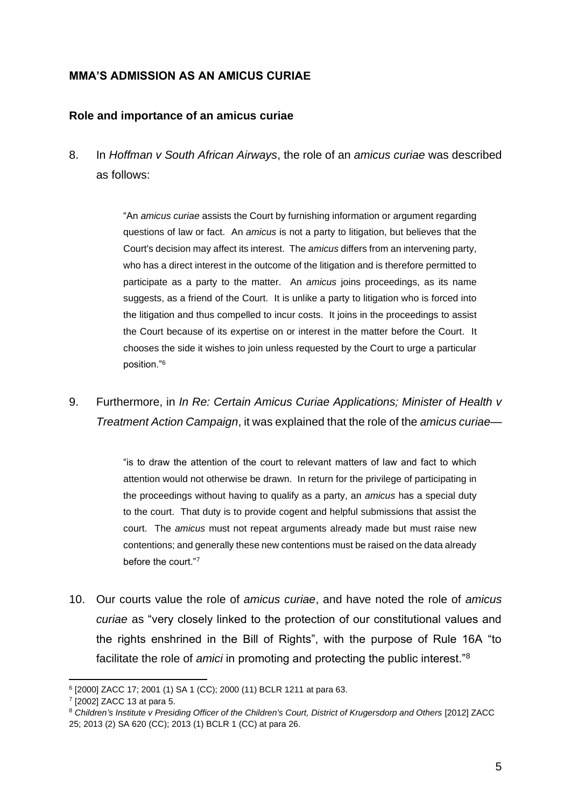#### <span id="page-7-0"></span>**MMA'S ADMISSION AS AN AMICUS CURIAE**

#### <span id="page-7-1"></span>**Role and importance of an amicus curiae**

8. In *Hoffman v South African Airways*, the role of an *amicus curiae* was described as follows:

> "An *amicus curiae* assists the Court by furnishing information or argument regarding questions of law or fact. An *amicus* is not a party to litigation, but believes that the Court's decision may affect its interest. The *amicus* differs from an intervening party, who has a direct interest in the outcome of the litigation and is therefore permitted to participate as a party to the matter. An *amicus* joins proceedings, as its name suggests, as a friend of the Court. It is unlike a party to litigation who is forced into the litigation and thus compelled to incur costs. It joins in the proceedings to assist the Court because of its expertise on or interest in the matter before the Court. It chooses the side it wishes to join unless requested by the Court to urge a particular position."<sup>6</sup>

9. Furthermore, in *In Re: Certain Amicus Curiae Applications; Minister of Health v Treatment Action Campaign*, it was explained that the role of the *amicus curiae*—

> "is to draw the attention of the court to relevant matters of law and fact to which attention would not otherwise be drawn. In return for the privilege of participating in the proceedings without having to qualify as a party, an *amicus* has a special duty to the court. That duty is to provide cogent and helpful submissions that assist the court. The *amicus* must not repeat arguments already made but must raise new contentions; and generally these new contentions must be raised on the data already before the court."<sup>7</sup>

10. Our courts value the role of *amicus curiae*, and have noted the role of *amicus curiae* as "very closely linked to the protection of our constitutional values and the rights enshrined in the Bill of Rights", with the purpose of Rule 16A "to facilitate the role of *amici* in promoting and protecting the public interest."<sup>8</sup>

<sup>6</sup> [2000] ZACC 17; 2001 (1) SA 1 (CC); 2000 (11) BCLR 1211 at para 63.

<sup>7</sup> [2002] ZACC 13 at para 5.

<sup>8</sup> *Children's Institute v Presiding Officer of the Children's Court, District of Krugersdorp and Others* [2012] ZACC 25; 2013 (2) SA 620 (CC); 2013 (1) BCLR 1 (CC) at para 26.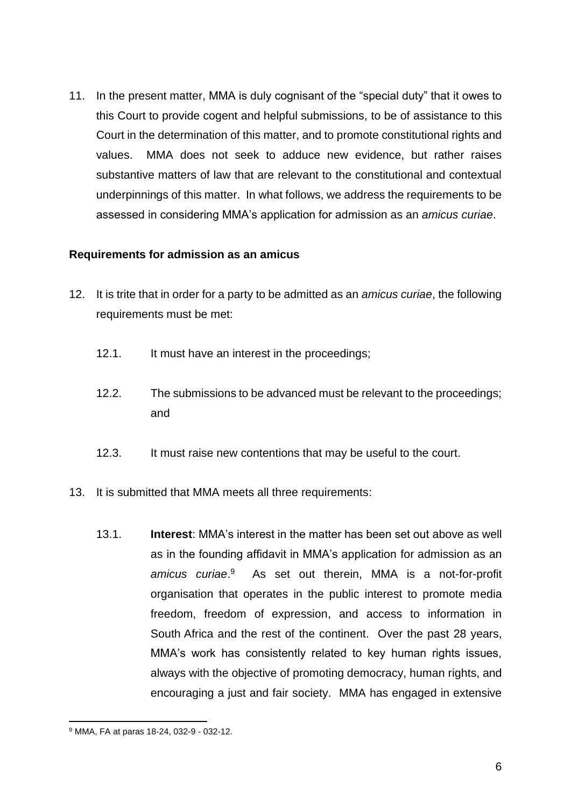11. In the present matter, MMA is duly cognisant of the "special duty" that it owes to this Court to provide cogent and helpful submissions, to be of assistance to this Court in the determination of this matter, and to promote constitutional rights and values. MMA does not seek to adduce new evidence, but rather raises substantive matters of law that are relevant to the constitutional and contextual underpinnings of this matter. In what follows, we address the requirements to be assessed in considering MMA's application for admission as an *amicus curiae*.

#### <span id="page-8-0"></span>**Requirements for admission as an amicus**

- 12. It is trite that in order for a party to be admitted as an *amicus curiae*, the following requirements must be met:
	- 12.1. It must have an interest in the proceedings;
	- 12.2. The submissions to be advanced must be relevant to the proceedings; and
	- 12.3. It must raise new contentions that may be useful to the court.
- 13. It is submitted that MMA meets all three requirements:
	- 13.1. **Interest**: MMA's interest in the matter has been set out above as well as in the founding affidavit in MMA's application for admission as an *amicus curiae*. 9 As set out therein, MMA is a not-for-profit organisation that operates in the public interest to promote media freedom, freedom of expression, and access to information in South Africa and the rest of the continent. Over the past 28 years, MMA's work has consistently related to key human rights issues, always with the objective of promoting democracy, human rights, and encouraging a just and fair society. MMA has engaged in extensive

<sup>9</sup> MMA, FA at paras 18-24, 032-9 - 032-12.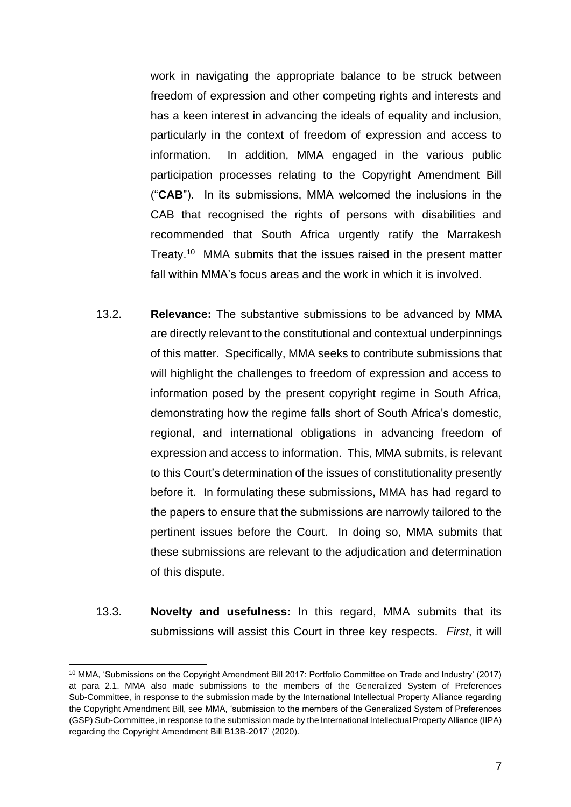work in navigating the appropriate balance to be struck between freedom of expression and other competing rights and interests and has a keen interest in advancing the ideals of equality and inclusion, particularly in the context of freedom of expression and access to information. In addition, MMA engaged in the various public participation processes relating to the Copyright Amendment Bill ("**CAB**"). In its submissions, MMA welcomed the inclusions in the CAB that recognised the rights of persons with disabilities and recommended that South Africa urgently ratify the Marrakesh Treaty.<sup>10</sup> MMA submits that the issues raised in the present matter fall within MMA's focus areas and the work in which it is involved.

- 13.2. **Relevance:** The substantive submissions to be advanced by MMA are directly relevant to the constitutional and contextual underpinnings of this matter. Specifically, MMA seeks to contribute submissions that will highlight the challenges to freedom of expression and access to information posed by the present copyright regime in South Africa, demonstrating how the regime falls short of South Africa's domestic, regional, and international obligations in advancing freedom of expression and access to information. This, MMA submits, is relevant to this Court's determination of the issues of constitutionality presently before it. In formulating these submissions, MMA has had regard to the papers to ensure that the submissions are narrowly tailored to the pertinent issues before the Court. In doing so, MMA submits that these submissions are relevant to the adjudication and determination of this dispute.
- 13.3. **Novelty and usefulness:** In this regard, MMA submits that its submissions will assist this Court in three key respects. *First*, it will

<sup>10</sup> MMA, 'Submissions on the Copyright Amendment Bill 2017: Portfolio Committee on Trade and Industry' (2017) at para 2.1. MMA also made submissions to the members of the Generalized System of Preferences Sub-Committee, in response to the submission made by the International Intellectual Property Alliance regarding the Copyright Amendment Bill, see MMA, 'submission to the members of the Generalized System of Preferences (GSP) Sub-Committee, in response to the submission made by the International Intellectual Property Alliance (IIPA) regarding the Copyright Amendment Bill B13B-2017' (2020).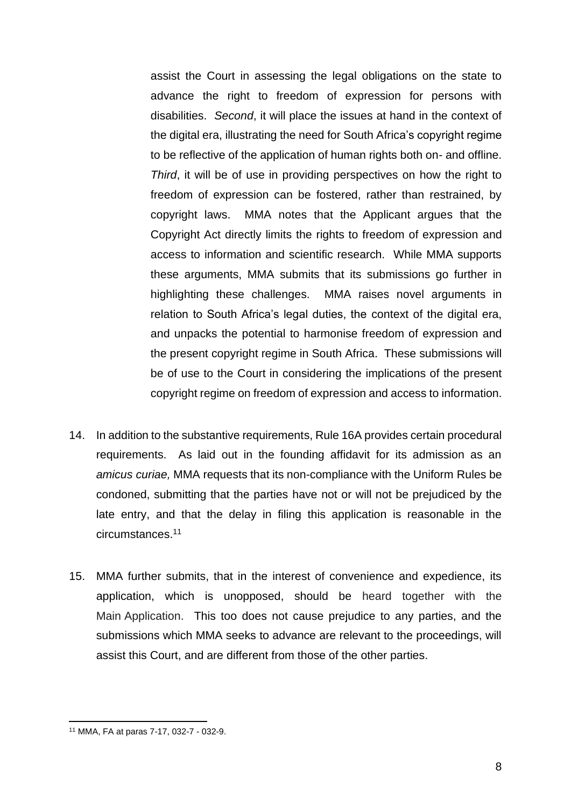assist the Court in assessing the legal obligations on the state to advance the right to freedom of expression for persons with disabilities. *Second*, it will place the issues at hand in the context of the digital era, illustrating the need for South Africa's copyright regime to be reflective of the application of human rights both on- and offline. *Third*, it will be of use in providing perspectives on how the right to freedom of expression can be fostered, rather than restrained, by copyright laws. MMA notes that the Applicant argues that the Copyright Act directly limits the rights to freedom of expression and access to information and scientific research. While MMA supports these arguments, MMA submits that its submissions go further in highlighting these challenges. MMA raises novel arguments in relation to South Africa's legal duties, the context of the digital era, and unpacks the potential to harmonise freedom of expression and the present copyright regime in South Africa. These submissions will be of use to the Court in considering the implications of the present copyright regime on freedom of expression and access to information.

- 14. In addition to the substantive requirements, Rule 16A provides certain procedural requirements. As laid out in the founding affidavit for its admission as an *amicus curiae,* MMA requests that its non-compliance with the Uniform Rules be condoned, submitting that the parties have not or will not be prejudiced by the late entry, and that the delay in filing this application is reasonable in the circumstances. 11
- 15. MMA further submits, that in the interest of convenience and expedience, its application, which is unopposed, should be heard together with the Main Application. This too does not cause prejudice to any parties, and the submissions which MMA seeks to advance are relevant to the proceedings, will assist this Court, and are different from those of the other parties.

<sup>11</sup> MMA, FA at paras 7-17, 032-7 - 032-9.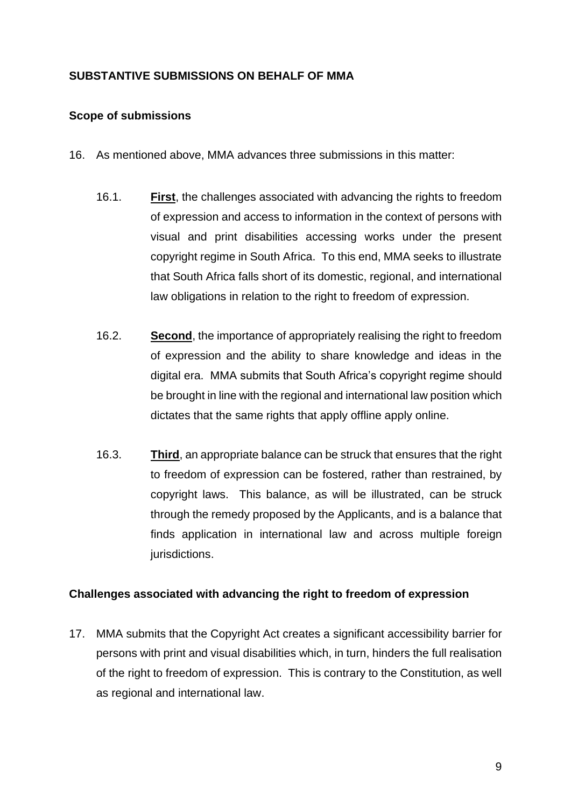### <span id="page-11-0"></span>**SUBSTANTIVE SUBMISSIONS ON BEHALF OF MMA**

### <span id="page-11-1"></span>**Scope of submissions**

- 16. As mentioned above, MMA advances three submissions in this matter:
	- 16.1. **First**, the challenges associated with advancing the rights to freedom of expression and access to information in the context of persons with visual and print disabilities accessing works under the present copyright regime in South Africa. To this end, MMA seeks to illustrate that South Africa falls short of its domestic, regional, and international law obligations in relation to the right to freedom of expression.
	- 16.2. **Second**, the importance of appropriately realising the right to freedom of expression and the ability to share knowledge and ideas in the digital era. MMA submits that South Africa's copyright regime should be brought in line with the regional and international law position which dictates that the same rights that apply offline apply online.
	- 16.3. **Third**, an appropriate balance can be struck that ensures that the right to freedom of expression can be fostered, rather than restrained, by copyright laws. This balance, as will be illustrated, can be struck through the remedy proposed by the Applicants, and is a balance that finds application in international law and across multiple foreign jurisdictions.

#### <span id="page-11-2"></span>**Challenges associated with advancing the right to freedom of expression**

17. MMA submits that the Copyright Act creates a significant accessibility barrier for persons with print and visual disabilities which, in turn, hinders the full realisation of the right to freedom of expression. This is contrary to the Constitution, as well as regional and international law.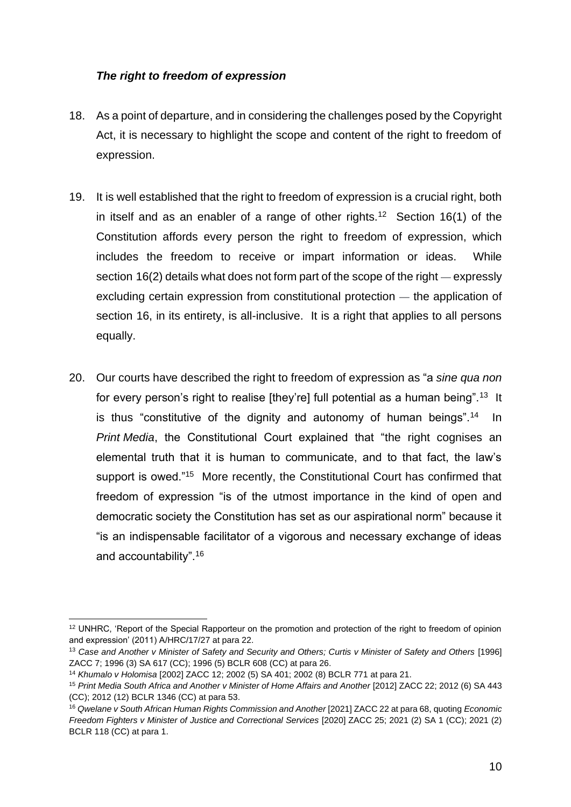### <span id="page-12-0"></span>*The right to freedom of expression*

- 18. As a point of departure, and in considering the challenges posed by the Copyright Act, it is necessary to highlight the scope and content of the right to freedom of expression.
- 19. It is well established that the right to freedom of expression is a crucial right, both in itself and as an enabler of a range of other rights.<sup>12</sup> Section 16(1) of the Constitution affords every person the right to freedom of expression, which includes the freedom to receive or impart information or ideas. While section 16(2) details what does not form part of the scope of the right — expressly excluding certain expression from constitutional protection — the application of section 16, in its entirety, is all-inclusive. It is a right that applies to all persons equally.
- 20. Our courts have described the right to freedom of expression as "a *sine qua non*  for every person's right to realise [they're] full potential as a human being".<sup>13</sup> It is thus "constitutive of the dignity and autonomy of human beings".<sup>14</sup> In *Print Media*, the Constitutional Court explained that "the right cognises an elemental truth that it is human to communicate, and to that fact, the law's support is owed."<sup>15</sup> More recently, the Constitutional Court has confirmed that freedom of expression "is of the utmost importance in the kind of open and democratic society the Constitution has set as our aspirational norm" because it "is an indispensable facilitator of a vigorous and necessary exchange of ideas and accountability".<sup>16</sup>

<sup>12</sup> UNHRC, 'Report of the Special Rapporteur on the promotion and protection of the right to freedom of opinion and expression' (2011) A/HRC/17/27 at para 22.

<sup>13</sup> *Case and Another v Minister of Safety and Security and Others; Curtis v Minister of Safety and Others* [1996] ZACC 7; 1996 (3) SA 617 (CC); 1996 (5) BCLR 608 (CC) at para 26.

<sup>14</sup> *Khumalo v Holomisa* [2002] ZACC 12; 2002 (5) SA 401; 2002 (8) BCLR 771 at para 21.

<sup>15</sup> *Print Media South Africa and Another v Minister of Home Affairs and Another* [2012] ZACC 22; 2012 (6) SA 443 (CC); 2012 (12) BCLR 1346 (CC) at para 53.

<sup>16</sup> *Qwelane v South African Human Rights Commission and Another* [2021] ZACC 22 at para 68, quoting *Economic Freedom Fighters v Minister of Justice and Correctional Services* [2020] ZACC 25; 2021 (2) SA 1 (CC); 2021 (2) BCLR 118 (CC) at para 1.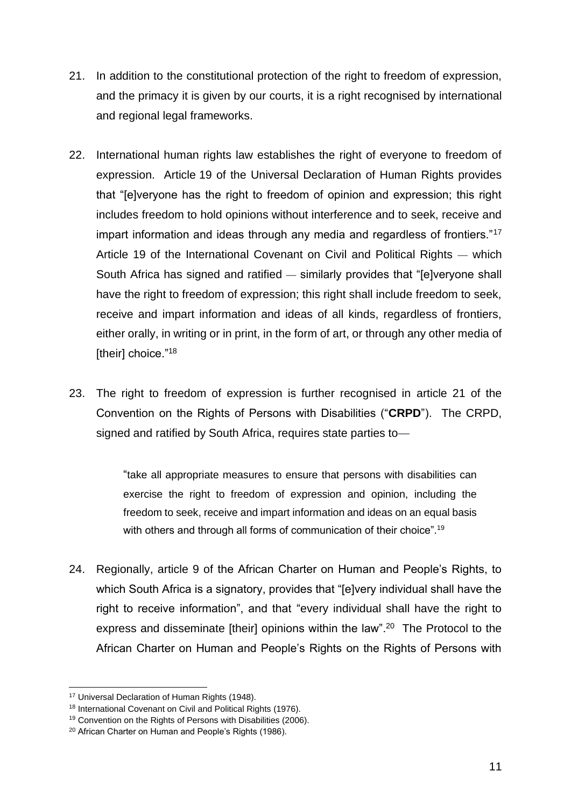- 21. In addition to the constitutional protection of the right to freedom of expression, and the primacy it is given by our courts, it is a right recognised by international and regional legal frameworks.
- 22. International human rights law establishes the right of everyone to freedom of expression. Article 19 of the Universal Declaration of Human Rights provides that "[e]veryone has the right to freedom of opinion and expression; this right includes freedom to hold opinions without interference and to seek, receive and impart information and ideas through any media and regardless of frontiers."<sup>17</sup> Article 19 of the International Covenant on Civil and Political Rights — which South Africa has signed and ratified — similarly provides that "[e]veryone shall have the right to freedom of expression; this right shall include freedom to seek, receive and impart information and ideas of all kinds, regardless of frontiers, either orally, in writing or in print, in the form of art, or through any other media of Itheirl choice."<sup>18</sup>
- 23. The right to freedom of expression is further recognised in article 21 of the Convention on the Rights of Persons with Disabilities ("**CRPD**"). The CRPD, signed and ratified by South Africa, requires state parties to—

"take all appropriate measures to ensure that persons with disabilities can exercise the right to freedom of expression and opinion, including the freedom to seek, receive and impart information and ideas on an equal basis with others and through all forms of communication of their choice".<sup>19</sup>

24. Regionally, article 9 of the African Charter on Human and People's Rights, to which South Africa is a signatory, provides that "[e]very individual shall have the right to receive information", and that "every individual shall have the right to express and disseminate [their] opinions within the law".<sup>20</sup> The Protocol to the African Charter on Human and People's Rights on the Rights of Persons with

<sup>&</sup>lt;sup>17</sup> Universal Declaration of Human Rights (1948).

<sup>18</sup> International Covenant on Civil and Political Rights (1976).

<sup>&</sup>lt;sup>19</sup> Convention on the Rights of Persons with Disabilities (2006).

<sup>20</sup> African Charter on Human and People's Rights (1986).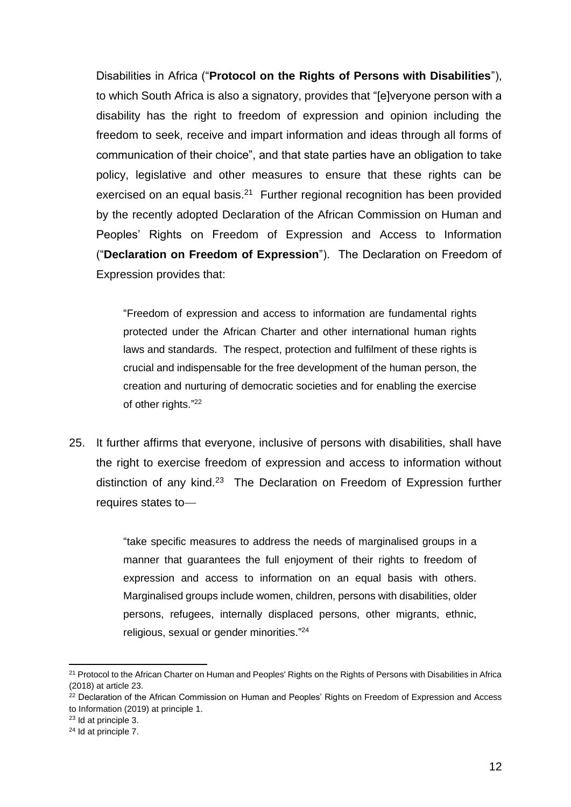Disabilities in Africa ("**Protocol on the Rights of Persons with Disabilities**"), to which South Africa is also a signatory, provides that "[e]veryone person with a disability has the right to freedom of expression and opinion including the freedom to seek, receive and impart information and ideas through all forms of communication of their choice", and that state parties have an obligation to take policy, legislative and other measures to ensure that these rights can be exercised on an equal basis. $21$  Further regional recognition has been provided by the recently adopted Declaration of the African Commission on Human and Peoples' Rights on Freedom of Expression and Access to Information ("**Declaration on Freedom of Expression**"). The Declaration on Freedom of Expression provides that:

"Freedom of expression and access to information are fundamental rights protected under the African Charter and other international human rights laws and standards. The respect, protection and fulfilment of these rights is crucial and indispensable for the free development of the human person, the creation and nurturing of democratic societies and for enabling the exercise of other rights."<sup>22</sup>

25. It further affirms that everyone, inclusive of persons with disabilities, shall have the right to exercise freedom of expression and access to information without distinction of any kind.<sup>23</sup> The Declaration on Freedom of Expression further requires states to—

> "take specific measures to address the needs of marginalised groups in a manner that guarantees the full enjoyment of their rights to freedom of expression and access to information on an equal basis with others. Marginalised groups include women, children, persons with disabilities, older persons, refugees, internally displaced persons, other migrants, ethnic, religious, sexual or gender minorities."<sup>24</sup>

<sup>&</sup>lt;sup>21</sup> Protocol to the African Charter on Human and Peoples' Rights on the Rights of Persons with Disabilities in Africa (2018) at article 23.

<sup>&</sup>lt;sup>22</sup> Declaration of the African Commission on Human and Peoples' Rights on Freedom of Expression and Access to Information (2019) at principle 1.

<sup>23</sup> Id at principle 3.

<sup>24</sup> Id at principle 7.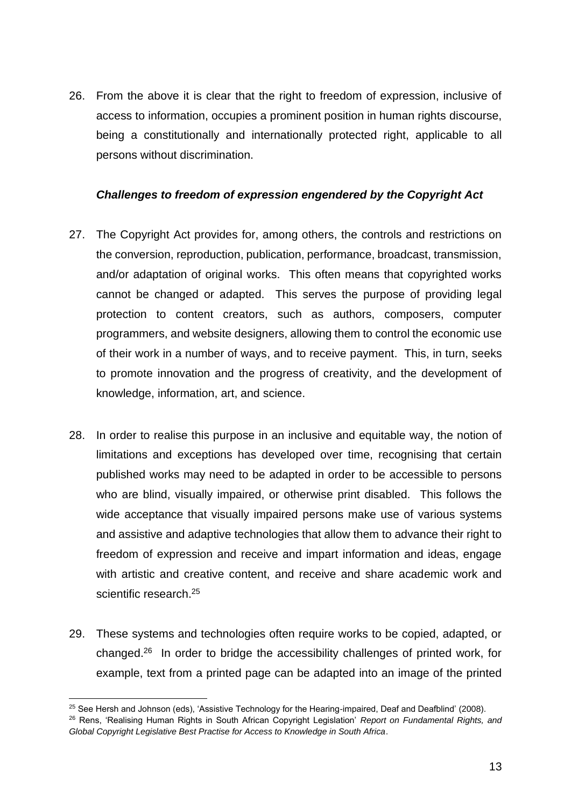26. From the above it is clear that the right to freedom of expression, inclusive of access to information, occupies a prominent position in human rights discourse, being a constitutionally and internationally protected right, applicable to all persons without discrimination.

#### <span id="page-15-0"></span>*Challenges to freedom of expression engendered by the Copyright Act*

- 27. The Copyright Act provides for, among others, the controls and restrictions on the conversion, reproduction, publication, performance, broadcast, transmission, and/or adaptation of original works. This often means that copyrighted works cannot be changed or adapted. This serves the purpose of providing legal protection to content creators, such as authors, composers, computer programmers, and website designers, allowing them to control the economic use of their work in a number of ways, and to receive payment. This, in turn, seeks to promote innovation and the progress of creativity, and the development of knowledge, information, art, and science.
- 28. In order to realise this purpose in an inclusive and equitable way, the notion of limitations and exceptions has developed over time, recognising that certain published works may need to be adapted in order to be accessible to persons who are blind, visually impaired, or otherwise print disabled. This follows the wide acceptance that visually impaired persons make use of various systems and assistive and adaptive technologies that allow them to advance their right to freedom of expression and receive and impart information and ideas, engage with artistic and creative content, and receive and share academic work and scientific research. 25
- 29. These systems and technologies often require works to be copied, adapted, or changed. 26 In order to bridge the accessibility challenges of printed work, for example, text from a printed page can be adapted into an image of the printed

<sup>&</sup>lt;sup>25</sup> See Hersh and Johnson (eds), 'Assistive Technology for the Hearing-impaired, Deaf and Deafblind' (2008).

<sup>26</sup> Rens, 'Realising Human Rights in South African Copyright Legislation' *Report on Fundamental Rights, and Global Copyright Legislative Best Practise for Access to Knowledge in South Africa*.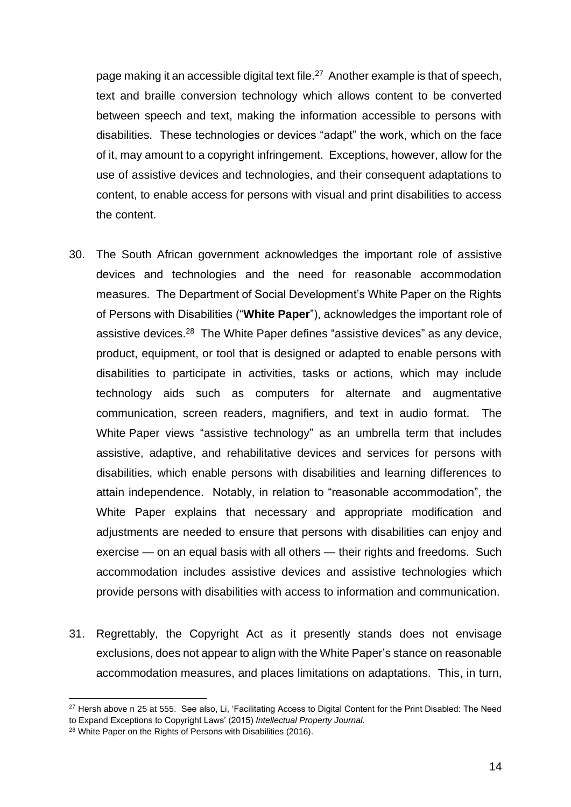page making it an accessible digital text file.<sup>27</sup> Another example is that of speech, text and braille conversion technology which allows content to be converted between speech and text, making the information accessible to persons with disabilities. These technologies or devices "adapt" the work, which on the face of it, may amount to a copyright infringement. Exceptions, however, allow for the use of assistive devices and technologies, and their consequent adaptations to content, to enable access for persons with visual and print disabilities to access the content.

- 30. The South African government acknowledges the important role of assistive devices and technologies and the need for reasonable accommodation measures. The Department of Social Development's White Paper on the Rights of Persons with Disabilities ("**White Paper**"), acknowledges the important role of assistive devices.<sup>28</sup> The White Paper defines "assistive devices" as any device, product, equipment, or tool that is designed or adapted to enable persons with disabilities to participate in activities, tasks or actions, which may include technology aids such as computers for alternate and augmentative communication, screen readers, magnifiers, and text in audio format. The White Paper views "assistive technology" as an umbrella term that includes assistive, adaptive, and rehabilitative devices and services for persons with disabilities, which enable persons with disabilities and learning differences to attain independence. Notably, in relation to "reasonable accommodation", the White Paper explains that necessary and appropriate modification and adjustments are needed to ensure that persons with disabilities can enjoy and exercise — on an equal basis with all others — their rights and freedoms. Such accommodation includes assistive devices and assistive technologies which provide persons with disabilities with access to information and communication.
- 31. Regrettably, the Copyright Act as it presently stands does not envisage exclusions, does not appear to align with the White Paper's stance on reasonable accommodation measures, and places limitations on adaptations. This, in turn,

<sup>&</sup>lt;sup>27</sup> Hersh above n 25 at 555. See also, Li, 'Facilitating Access to Digital Content for the Print Disabled: The Need to Expand Exceptions to Copyright Laws' (2015) *Intellectual Property Journal.*

<sup>&</sup>lt;sup>28</sup> White Paper on the Rights of Persons with Disabilities (2016).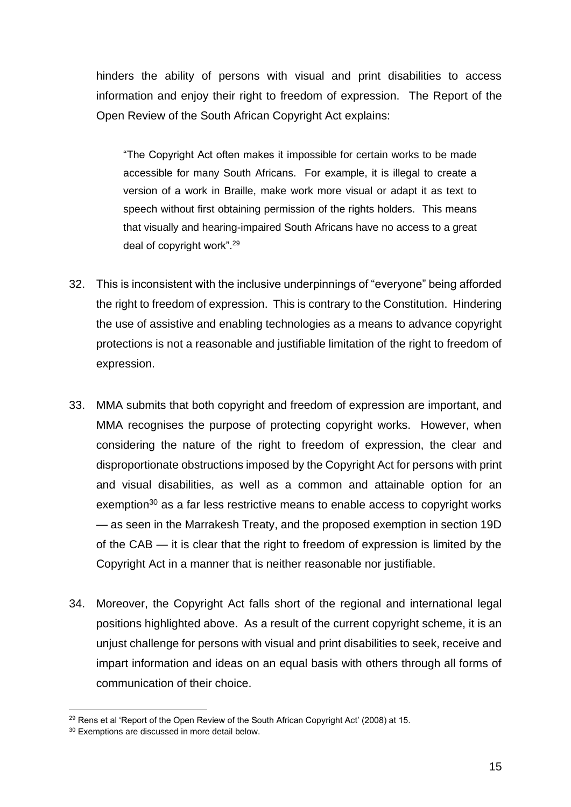hinders the ability of persons with visual and print disabilities to access information and enjoy their right to freedom of expression. The Report of the Open Review of the South African Copyright Act explains:

"The Copyright Act often makes it impossible for certain works to be made accessible for many South Africans. For example, it is illegal to create a version of a work in Braille, make work more visual or adapt it as text to speech without first obtaining permission of the rights holders. This means that visually and hearing-impaired South Africans have no access to a great deal of copyright work".<sup>29</sup>

- 32. This is inconsistent with the inclusive underpinnings of "everyone" being afforded the right to freedom of expression. This is contrary to the Constitution. Hindering the use of assistive and enabling technologies as a means to advance copyright protections is not a reasonable and justifiable limitation of the right to freedom of expression.
- 33. MMA submits that both copyright and freedom of expression are important, and MMA recognises the purpose of protecting copyright works. However, when considering the nature of the right to freedom of expression, the clear and disproportionate obstructions imposed by the Copyright Act for persons with print and visual disabilities, as well as a common and attainable option for an exemption<sup>30</sup> as a far less restrictive means to enable access to copyright works — as seen in the Marrakesh Treaty, and the proposed exemption in section 19D of the CAB — it is clear that the right to freedom of expression is limited by the Copyright Act in a manner that is neither reasonable nor justifiable.
- 34. Moreover, the Copyright Act falls short of the regional and international legal positions highlighted above. As a result of the current copyright scheme, it is an unjust challenge for persons with visual and print disabilities to seek, receive and impart information and ideas on an equal basis with others through all forms of communication of their choice.

<sup>&</sup>lt;sup>29</sup> Rens et al 'Report of the Open Review of the South African Copyright Act' (2008) at 15.

<sup>30</sup> Exemptions are discussed in more detail below.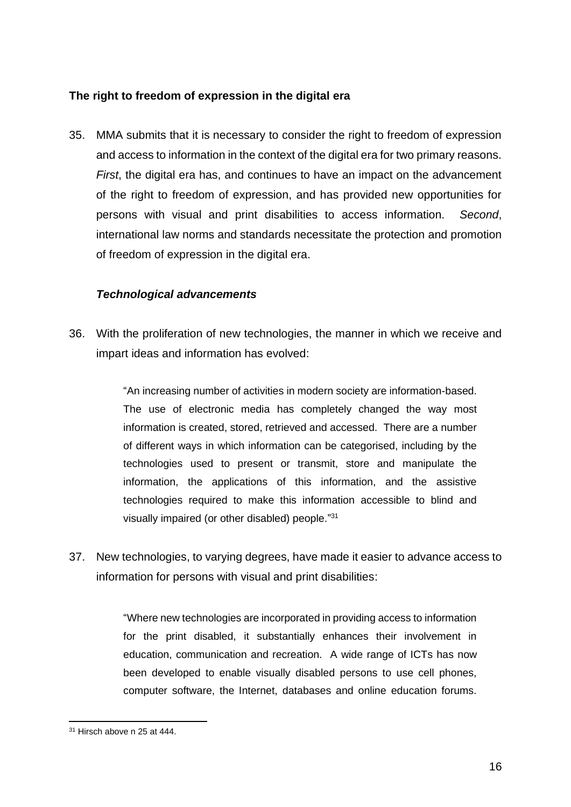### <span id="page-18-0"></span>**The right to freedom of expression in the digital era**

35. MMA submits that it is necessary to consider the right to freedom of expression and access to information in the context of the digital era for two primary reasons. *First*, the digital era has, and continues to have an impact on the advancement of the right to freedom of expression, and has provided new opportunities for persons with visual and print disabilities to access information. *Second*, international law norms and standards necessitate the protection and promotion of freedom of expression in the digital era.

#### <span id="page-18-1"></span>*Technological advancements*

36. With the proliferation of new technologies, the manner in which we receive and impart ideas and information has evolved:

> "An increasing number of activities in modern society are information-based. The use of electronic media has completely changed the way most information is created, stored, retrieved and accessed. There are a number of different ways in which information can be categorised, including by the technologies used to present or transmit, store and manipulate the information, the applications of this information, and the assistive technologies required to make this information accessible to blind and visually impaired (or other disabled) people."31

37. New technologies, to varying degrees, have made it easier to advance access to information for persons with visual and print disabilities:

> "Where new technologies are incorporated in providing access to information for the print disabled, it substantially enhances their involvement in education, communication and recreation. A wide range of ICTs has now been developed to enable visually disabled persons to use cell phones, computer software, the Internet, databases and online education forums.

<sup>31</sup> Hirsch above n 25 at 444.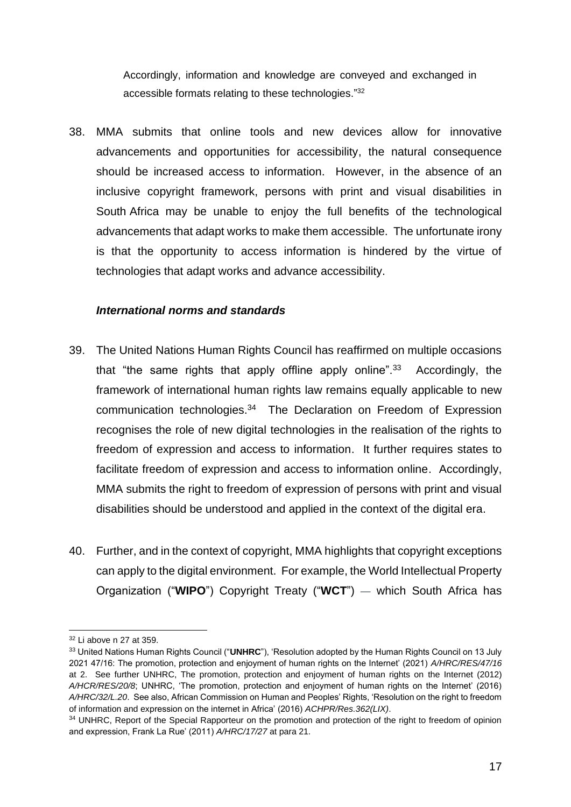Accordingly, information and knowledge are conveyed and exchanged in accessible formats relating to these technologies."32

38. MMA submits that online tools and new devices allow for innovative advancements and opportunities for accessibility, the natural consequence should be increased access to information. However, in the absence of an inclusive copyright framework, persons with print and visual disabilities in South Africa may be unable to enjoy the full benefits of the technological advancements that adapt works to make them accessible. The unfortunate irony is that the opportunity to access information is hindered by the virtue of technologies that adapt works and advance accessibility.

#### <span id="page-19-0"></span>*International norms and standards*

- 39. The United Nations Human Rights Council has reaffirmed on multiple occasions that "the same rights that apply offline apply online". $33$  Accordingly, the framework of international human rights law remains equally applicable to new communication technologies.<sup>34</sup> The Declaration on Freedom of Expression recognises the role of new digital technologies in the realisation of the rights to freedom of expression and access to information. It further requires states to facilitate freedom of expression and access to information online. Accordingly, MMA submits the right to freedom of expression of persons with print and visual disabilities should be understood and applied in the context of the digital era.
- 40. Further, and in the context of copyright, MMA highlights that copyright exceptions can apply to the digital environment. For example, the World Intellectual Property Organization ("**WIPO**") Copyright Treaty ("**WCT**") — which South Africa has

<sup>32</sup> Li above n 27 at 359.

<sup>33</sup> United Nations Human Rights Council ("**UNHRC**"), 'Resolution adopted by the Human Rights Council on 13 July 2021 47/16: The promotion, protection and enjoyment of human rights on the Internet' (2021) *A/HRC/RES/47/16*  at 2. See further UNHRC, The promotion, protection and enjoyment of human rights on the Internet (2012) *A/HCR/RES/20/8*; UNHRC, 'The promotion, protection and enjoyment of human rights on the Internet' (2016) *A/HRC/32/L.20*. See also, African Commission on Human and Peoples' Rights, 'Resolution on the right to freedom of information and expression on the internet in Africa' (2016) *ACHPR/Res.362(LIX)*.

<sup>&</sup>lt;sup>34</sup> UNHRC. Report of the Special Rapporteur on the promotion and protection of the right to freedom of opinion and expression, Frank La Rue' (2011) *A/HRC/17/27* at para 21.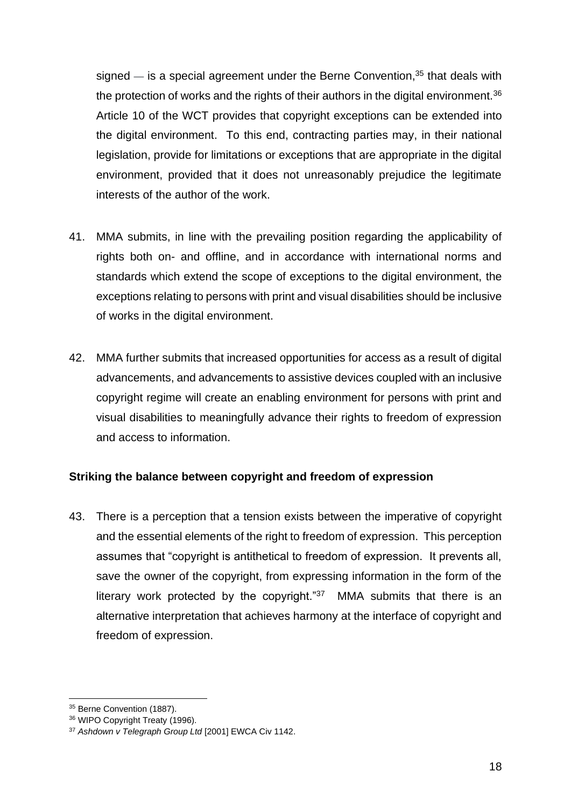signed  $-$  is a special agreement under the Berne Convention, $35$  that deals with the protection of works and the rights of their authors in the digital environment.<sup>36</sup> Article 10 of the WCT provides that copyright exceptions can be extended into the digital environment. To this end, contracting parties may, in their national legislation, provide for limitations or exceptions that are appropriate in the digital environment, provided that it does not unreasonably prejudice the legitimate interests of the author of the work.

- 41. MMA submits, in line with the prevailing position regarding the applicability of rights both on- and offline, and in accordance with international norms and standards which extend the scope of exceptions to the digital environment, the exceptions relating to persons with print and visual disabilities should be inclusive of works in the digital environment.
- 42. MMA further submits that increased opportunities for access as a result of digital advancements, and advancements to assistive devices coupled with an inclusive copyright regime will create an enabling environment for persons with print and visual disabilities to meaningfully advance their rights to freedom of expression and access to information.

### <span id="page-20-0"></span>**Striking the balance between copyright and freedom of expression**

43. There is a perception that a tension exists between the imperative of copyright and the essential elements of the right to freedom of expression. This perception assumes that "copyright is antithetical to freedom of expression. It prevents all, save the owner of the copyright, from expressing information in the form of the literary work protected by the copyright." $37$  MMA submits that there is an alternative interpretation that achieves harmony at the interface of copyright and freedom of expression.

<sup>&</sup>lt;sup>35</sup> Berne Convention (1887).

<sup>36</sup> WIPO Copyright Treaty (1996).

<sup>37</sup> *Ashdown v Telegraph Group Ltd* [2001] EWCA Civ 1142.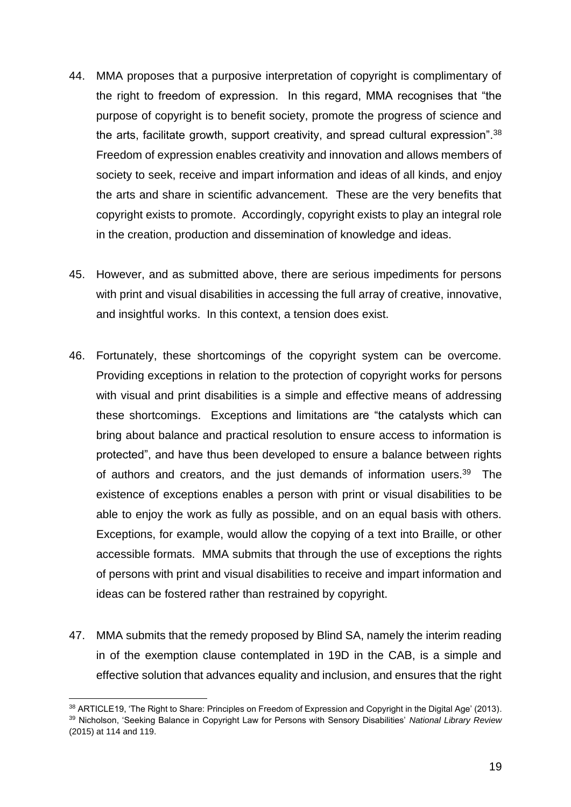- 44. MMA proposes that a purposive interpretation of copyright is complimentary of the right to freedom of expression. In this regard, MMA recognises that "the purpose of copyright is to benefit society, promote the progress of science and the arts, facilitate growth, support creativity, and spread cultural expression".  $38$ Freedom of expression enables creativity and innovation and allows members of society to seek, receive and impart information and ideas of all kinds, and enjoy the arts and share in scientific advancement. These are the very benefits that copyright exists to promote. Accordingly, copyright exists to play an integral role in the creation, production and dissemination of knowledge and ideas.
- 45. However, and as submitted above, there are serious impediments for persons with print and visual disabilities in accessing the full array of creative, innovative, and insightful works. In this context, a tension does exist.
- 46. Fortunately, these shortcomings of the copyright system can be overcome. Providing exceptions in relation to the protection of copyright works for persons with visual and print disabilities is a simple and effective means of addressing these shortcomings. Exceptions and limitations are "the catalysts which can bring about balance and practical resolution to ensure access to information is protected", and have thus been developed to ensure a balance between rights of authors and creators, and the just demands of information users.<sup>39</sup> The existence of exceptions enables a person with print or visual disabilities to be able to enjoy the work as fully as possible, and on an equal basis with others. Exceptions, for example, would allow the copying of a text into Braille, or other accessible formats. MMA submits that through the use of exceptions the rights of persons with print and visual disabilities to receive and impart information and ideas can be fostered rather than restrained by copyright.
- 47. MMA submits that the remedy proposed by Blind SA, namely the interim reading in of the exemption clause contemplated in 19D in the CAB, is a simple and effective solution that advances equality and inclusion, and ensures that the right

<sup>38</sup> ARTICLE19, 'The Right to Share: Principles on Freedom of Expression and Copyright in the Digital Age' (2013). <sup>39</sup> Nicholson, 'Seeking Balance in Copyright Law for Persons with Sensory Disabilities' *National Library Review* (2015) at 114 and 119.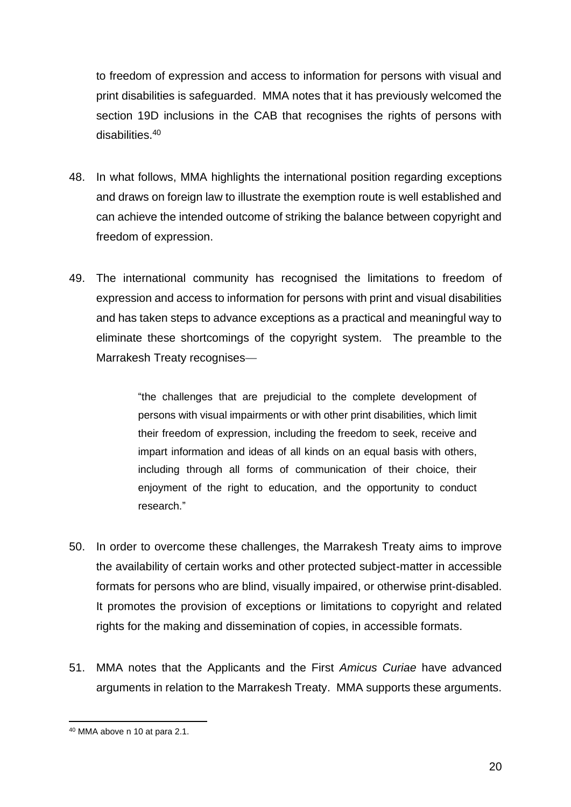to freedom of expression and access to information for persons with visual and print disabilities is safeguarded. MMA notes that it has previously welcomed the section 19D inclusions in the CAB that recognises the rights of persons with disabilities.<sup>40</sup>

- 48. In what follows, MMA highlights the international position regarding exceptions and draws on foreign law to illustrate the exemption route is well established and can achieve the intended outcome of striking the balance between copyright and freedom of expression.
- 49. The international community has recognised the limitations to freedom of expression and access to information for persons with print and visual disabilities and has taken steps to advance exceptions as a practical and meaningful way to eliminate these shortcomings of the copyright system. The preamble to the Marrakesh Treaty recognises—

"the challenges that are prejudicial to the complete development of persons with visual impairments or with other print disabilities, which limit their freedom of expression, including the freedom to seek, receive and impart information and ideas of all kinds on an equal basis with others, including through all forms of communication of their choice, their enjoyment of the right to education, and the opportunity to conduct research."

- 50. In order to overcome these challenges, the Marrakesh Treaty aims to improve the availability of certain works and other protected subject-matter in accessible formats for persons who are blind, visually impaired, or otherwise print-disabled. It promotes the provision of exceptions or limitations to copyright and related rights for the making and dissemination of copies, in accessible formats.
- 51. MMA notes that the Applicants and the First *Amicus Curiae* have advanced arguments in relation to the Marrakesh Treaty. MMA supports these arguments.

<sup>40</sup> MMA above n 10 at para 2.1.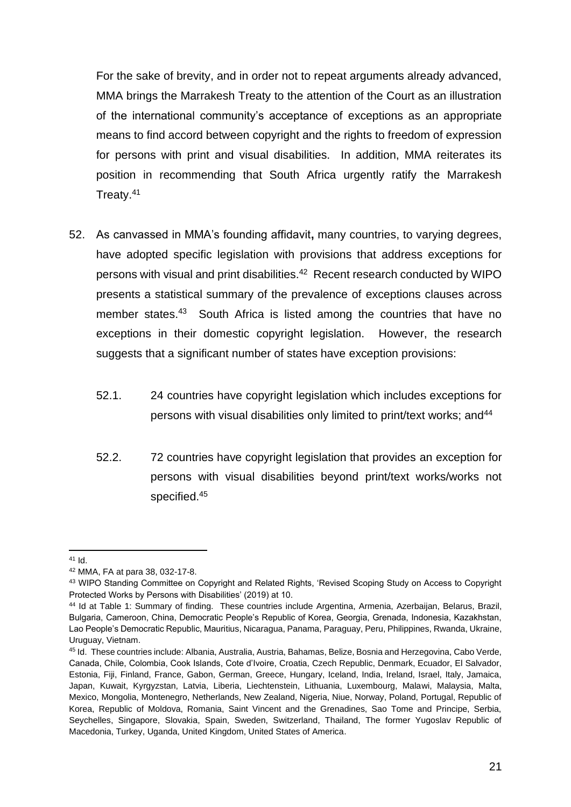For the sake of brevity, and in order not to repeat arguments already advanced, MMA brings the Marrakesh Treaty to the attention of the Court as an illustration of the international community's acceptance of exceptions as an appropriate means to find accord between copyright and the rights to freedom of expression for persons with print and visual disabilities. In addition, MMA reiterates its position in recommending that South Africa urgently ratify the Marrakesh Treaty.<sup>41</sup>

- 52. As canvassed in MMA's founding affidavit**,** many countries, to varying degrees, have adopted specific legislation with provisions that address exceptions for persons with visual and print disabilities.<sup>42</sup> Recent research conducted by WIPO presents a statistical summary of the prevalence of exceptions clauses across member states.<sup>43</sup> South Africa is listed among the countries that have no exceptions in their domestic copyright legislation. However, the research suggests that a significant number of states have exception provisions:
	- 52.1. 24 countries have copyright legislation which includes exceptions for persons with visual disabilities only limited to print/text works; and<sup>44</sup>
	- 52.2. 72 countries have copyright legislation that provides an exception for persons with visual disabilities beyond print/text works/works not specified.<sup>45</sup>

<sup>41</sup> Id.

<sup>42</sup> MMA, FA at para 38, 032-17-8.

<sup>43</sup> WIPO Standing Committee on Copyright and Related Rights, 'Revised Scoping Study on Access to Copyright Protected Works by Persons with Disabilities' (2019) at 10.

<sup>44</sup> Id at Table 1: Summary of finding. These countries include Argentina, Armenia, Azerbaijan, Belarus, Brazil, Bulgaria, Cameroon, China, Democratic People's Republic of Korea, Georgia, Grenada, Indonesia, Kazakhstan, Lao People's Democratic Republic, Mauritius, Nicaragua, Panama, Paraguay, Peru, Philippines, Rwanda, Ukraine, Uruguay, Vietnam.

<sup>45</sup> Id. These countries include: Albania, Australia, Austria, Bahamas, Belize, Bosnia and Herzegovina, Cabo Verde, Canada, Chile, Colombia, Cook Islands, Cote d'Ivoire, Croatia, Czech Republic, Denmark, Ecuador, El Salvador, Estonia, Fiji, Finland, France, Gabon, German, Greece, Hungary, Iceland, India, Ireland, Israel, Italy, Jamaica, Japan, Kuwait, Kyrgyzstan, Latvia, Liberia, Liechtenstein, Lithuania, Luxembourg, Malawi, Malaysia, Malta, Mexico, Mongolia, Montenegro, Netherlands, New Zealand, Nigeria, Niue, Norway, Poland, Portugal, Republic of Korea, Republic of Moldova, Romania, Saint Vincent and the Grenadines, Sao Tome and Principe, Serbia, Seychelles, Singapore, Slovakia, Spain, Sweden, Switzerland, Thailand, The former Yugoslav Republic of Macedonia, Turkey, Uganda, United Kingdom, United States of America.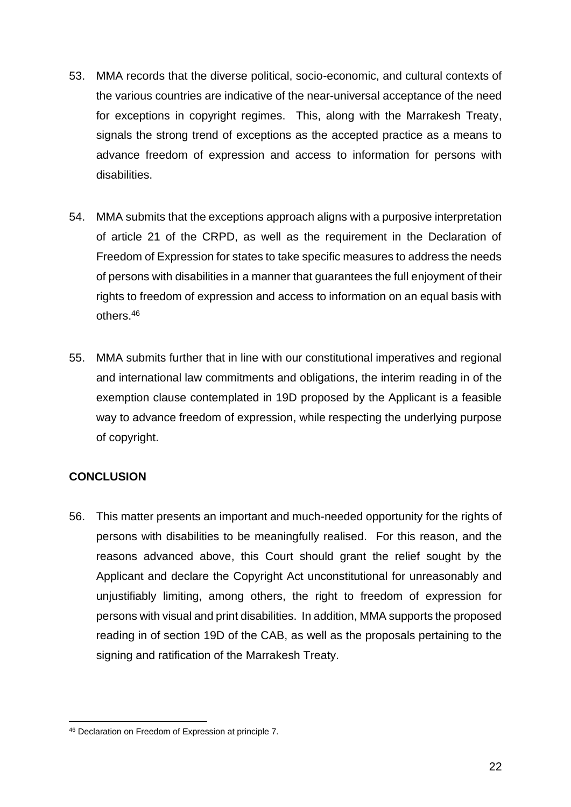- 53. MMA records that the diverse political, socio-economic, and cultural contexts of the various countries are indicative of the near-universal acceptance of the need for exceptions in copyright regimes. This, along with the Marrakesh Treaty, signals the strong trend of exceptions as the accepted practice as a means to advance freedom of expression and access to information for persons with disabilities.
- 54. MMA submits that the exceptions approach aligns with a purposive interpretation of article 21 of the CRPD, as well as the requirement in the Declaration of Freedom of Expression for states to take specific measures to address the needs of persons with disabilities in a manner that guarantees the full enjoyment of their rights to freedom of expression and access to information on an equal basis with others.<sup>46</sup>
- 55. MMA submits further that in line with our constitutional imperatives and regional and international law commitments and obligations, the interim reading in of the exemption clause contemplated in 19D proposed by the Applicant is a feasible way to advance freedom of expression, while respecting the underlying purpose of copyright.

### <span id="page-24-0"></span>**CONCLUSION**

56. This matter presents an important and much-needed opportunity for the rights of persons with disabilities to be meaningfully realised. For this reason, and the reasons advanced above, this Court should grant the relief sought by the Applicant and declare the Copyright Act unconstitutional for unreasonably and unjustifiably limiting, among others, the right to freedom of expression for persons with visual and print disabilities. In addition, MMA supports the proposed reading in of section 19D of the CAB, as well as the proposals pertaining to the signing and ratification of the Marrakesh Treaty.

<sup>46</sup> Declaration on Freedom of Expression at principle 7.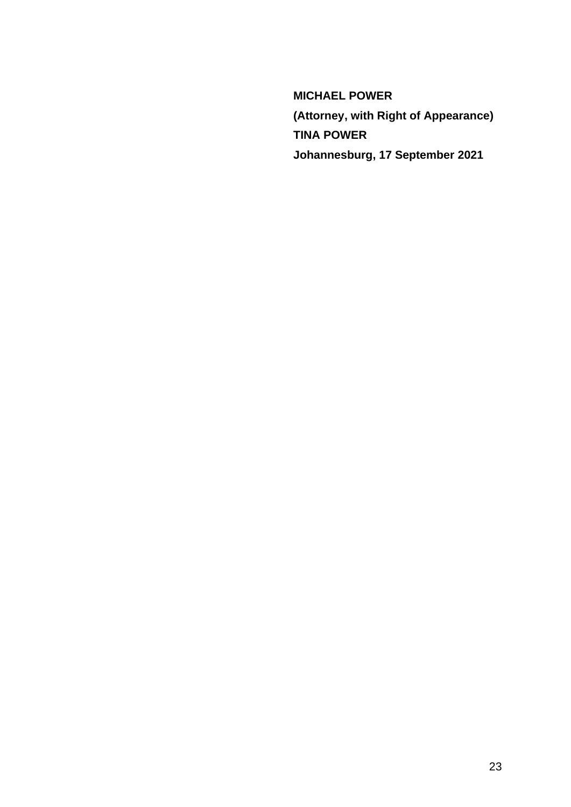**MICHAEL POWER (Attorney, with Right of Appearance) TINA POWER Johannesburg, 17 September 2021**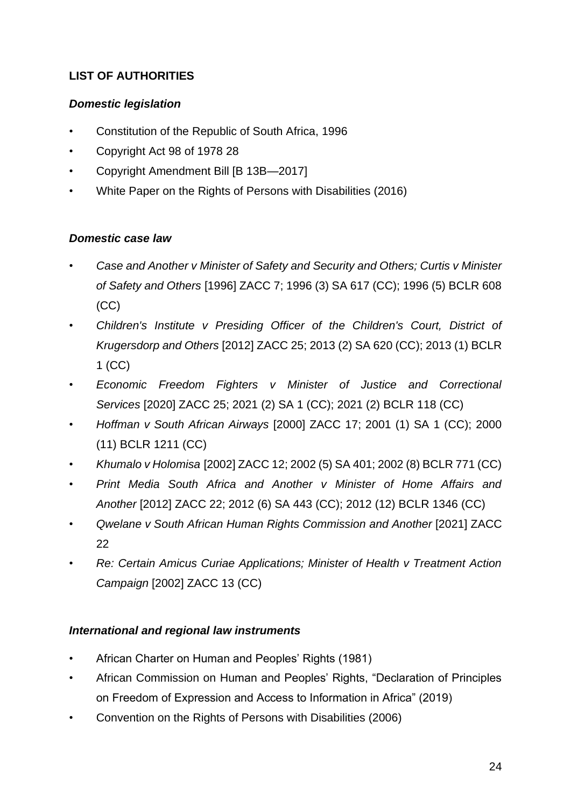## <span id="page-26-0"></span>**LIST OF AUTHORITIES**

## *Domestic legislation*

- Constitution of the Republic of South Africa, 1996
- Copyright Act 98 of 1978 28
- Copyright Amendment Bill [B 13B—2017]
- White Paper on the Rights of Persons with Disabilities (2016)

## *Domestic case law*

- *Case and Another v Minister of Safety and Security and Others; Curtis v Minister of Safety and Others* [1996] ZACC 7; 1996 (3) SA 617 (CC); 1996 (5) BCLR 608 (CC)
- *Children's Institute v Presiding Officer of the Children's Court, District of Krugersdorp and Others* [2012] ZACC 25; 2013 (2) SA 620 (CC); 2013 (1) BCLR 1 (CC)
- *Economic Freedom Fighters v Minister of Justice and Correctional Services* [2020] ZACC 25; 2021 (2) SA 1 (CC); 2021 (2) BCLR 118 (CC)
- *Hoffman v South African Airways* [2000] ZACC 17; 2001 (1) SA 1 (CC); 2000 (11) BCLR 1211 (CC)
- *Khumalo v Holomisa* [2002] ZACC 12; 2002 (5) SA 401; 2002 (8) BCLR 771 (CC)
- *Print Media South Africa and Another v Minister of Home Affairs and Another* [2012] ZACC 22; 2012 (6) SA 443 (CC); 2012 (12) BCLR 1346 (CC)
- *Qwelane v South African Human Rights Commission and Another* [2021] ZACC 22
- *Re: Certain Amicus Curiae Applications; Minister of Health v Treatment Action Campaign* [2002] ZACC 13 (CC)

### *International and regional law instruments*

- African Charter on Human and Peoples' Rights (1981)
- African Commission on Human and Peoples' Rights, "Declaration of Principles on Freedom of Expression and Access to Information in Africa" (2019)
- Convention on the Rights of Persons with Disabilities (2006)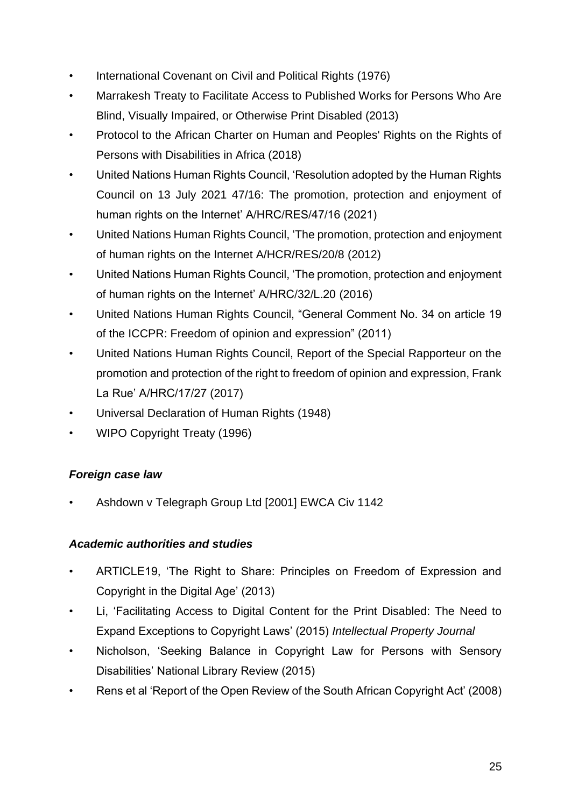- International Covenant on Civil and Political Rights (1976)
- Marrakesh Treaty to Facilitate Access to Published Works for Persons Who Are Blind, Visually Impaired, or Otherwise Print Disabled (2013)
- Protocol to the African Charter on Human and Peoples' Rights on the Rights of Persons with Disabilities in Africa (2018)
- United Nations Human Rights Council, 'Resolution adopted by the Human Rights Council on 13 July 2021 47/16: The promotion, protection and enjoyment of human rights on the Internet' A/HRC/RES/47/16 (2021)
- United Nations Human Rights Council, 'The promotion, protection and enjoyment of human rights on the Internet A/HCR/RES/20/8 (2012)
- United Nations Human Rights Council, 'The promotion, protection and enjoyment of human rights on the Internet' A/HRC/32/L.20 (2016)
- United Nations Human Rights Council, "General Comment No. 34 on article 19 of the ICCPR: Freedom of opinion and expression" (2011)
- United Nations Human Rights Council, Report of the Special Rapporteur on the promotion and protection of the right to freedom of opinion and expression, Frank La Rue' A/HRC/17/27 (2017)
- Universal Declaration of Human Rights (1948)
- WIPO Copyright Treaty (1996)

## *Foreign case law*

• Ashdown v Telegraph Group Ltd [2001] EWCA Civ 1142

## *Academic authorities and studies*

- ARTICLE19, 'The Right to Share: Principles on Freedom of Expression and Copyright in the Digital Age' (2013)
- Li, 'Facilitating Access to Digital Content for the Print Disabled: The Need to Expand Exceptions to Copyright Laws' (2015) *Intellectual Property Journal*
- Nicholson, 'Seeking Balance in Copyright Law for Persons with Sensory Disabilities' National Library Review (2015)
- Rens et al 'Report of the Open Review of the South African Copyright Act' (2008)